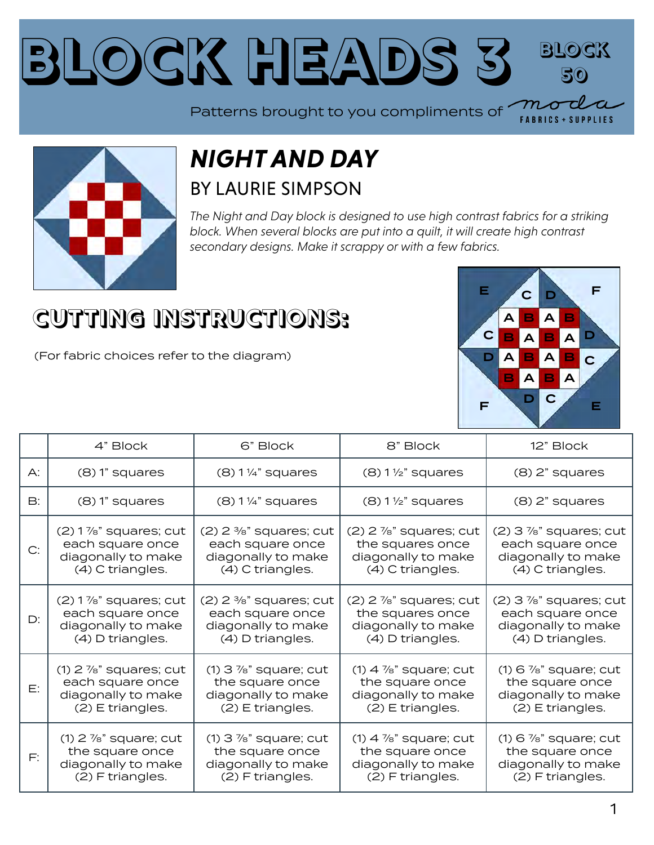#### **Block Heads [3](https://modafabrics.com) Block 50**  $m\sigma$ Patterns brought to you compliments of



#### *NIGHT AND DAY* BY [LAURIE SIMPSON](https://my.modafabrics.com/designers/minick-simpson)

*The Night and Day block is designed to use high contrast fabrics for a striking block. When several blocks are put into a quilt, it will create high contrast secondary designs. Make it scrappy or with a few fabrics.*

## **CUTTING INSTRUCTIONS:**

(For fabric choices refer to the diagram)



**FABRICS + SUPPLIES** 

|                | 4" Block                             | 6" Block                             | 8" Block                             | 12" Block                            |
|----------------|--------------------------------------|--------------------------------------|--------------------------------------|--------------------------------------|
| $\bigwedge$ :  | $(8)$ 1" squares                     | $(8)$ 1 1/4" squares                 | $(8)$ 1 $\frac{1}{2}$ " squares      | $(8)$ 2" squares                     |
| $\mathsf{B}$ : | $(8)$ 1" squares                     | $(8)$ 1 1/4" squares                 | $(8)$ 1 $\frac{1}{2}$ " squares      | $(8)$ 2" squares                     |
| C:             | $(2)$ 1 $\%$ " squares; cut          | $(2)$ 2 $\frac{3}{8}$ " squares; cut | $(2)$ 2 $\frac{7}{8}$ " squares; cut | $(2)$ 3 $\frac{7}{8}$ " squares; cut |
|                | each square once                     | each square once                     | the squares once                     | each square once                     |
|                | diagonally to make                   | diagonally to make                   | diagonally to make                   | diagonally to make                   |
|                | (4) C triangles.                     | (4) C triangles.                     | (4) C triangles.                     | (4) C triangles.                     |
| D:             | $(2)$ 1 %" squares; cut              | $(2)$ 2 $\frac{3}{8}$ " squares; cut | $(2)$ 2 $\frac{7}{8}$ " squares; cut | $(2)$ 3 $\frac{7}{8}$ " squares; cut |
|                | each square once                     | each square once                     | the squares once                     | each square once                     |
|                | diagonally to make                   | diagonally to make                   | diagonally to make                   | diagonally to make                   |
|                | (4) D triangles.                     | (4) D triangles.                     | (4) D triangles.                     | (4) D triangles.                     |
| E:             | $(1)$ 2 $\frac{7}{8}$ " squares; cut | $(1)$ 3 $\frac{7}{8}$ " square; cut  | $(1)$ 4 $\frac{7}{8}$ " square; cut  | $(1)$ 6 $\frac{7}{8}$ " square; cut  |
|                | each square once                     | the square once                      | the square once                      | the square once                      |
|                | diagonally to make                   | diagonally to make                   | diagonally to make                   | diagonally to make                   |
|                | (2) E triangles.                     | (2) E triangles.                     | (2) E triangles.                     | (2) E triangles.                     |
| F:             | $(1)$ 2 $\frac{7}{8}$ " square; cut  | $(1)$ 3 $\frac{7}{8}$ " square; cut  | $(1)$ 4 $\frac{7}{8}$ " square; cut  | $(1)$ 6 $\frac{7}{8}$ " square; cut  |
|                | the square once                      | the square once                      | the square once                      | the square once                      |
|                | diagonally to make                   | diagonally to make                   | diagonally to make                   | diagonally to make                   |
|                | (2) F triangles.                     | (2) F triangles.                     | (2) F triangles.                     | (2) F triangles.                     |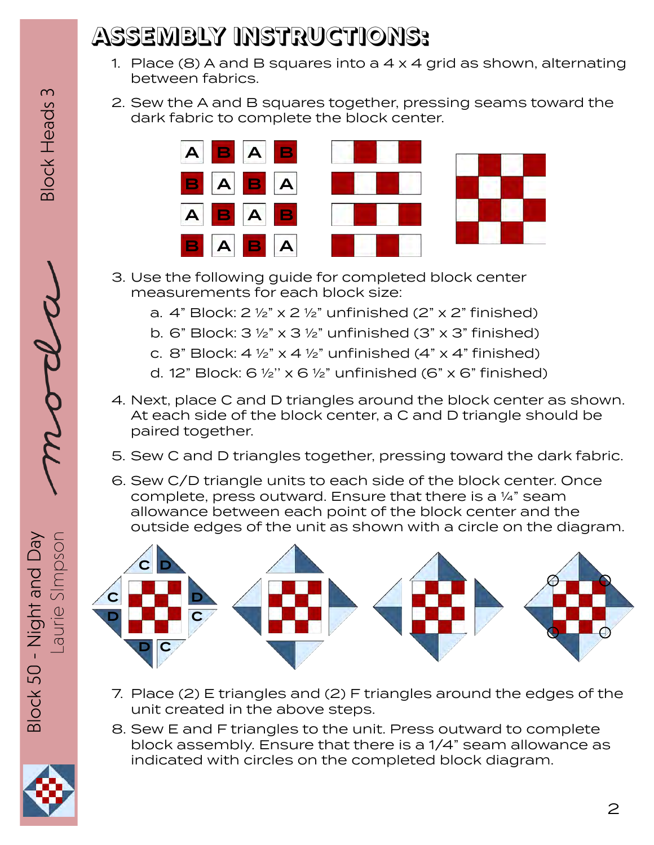### **ASSEMBLY INSTRUCTIONS:**

- 1. Place (8) A and B squares into a  $4 \times 4$  grid as shown, alternating between fabrics.
- 2. Sew the A and B squares together, pressing seams toward the dark fabric to complete the block center.





- a.  $4$ " Block:  $2 \frac{1}{2}$ " x  $2 \frac{1}{2}$ " unfinished ( $2$ " x  $2$ " finished)
- b. 6" Block:  $3\frac{1}{2}$ " x  $3\frac{1}{2}$ " unfinished (3" x 3" finished)
- c. 8" Block:  $4\frac{1}{2}$ " x  $4\frac{1}{2}$ " unfinished  $(4$ " x  $4$ " finished)
- d. 12" Block:  $6\frac{1}{2}$ " x  $6\frac{1}{2}$ " unfinished (6" x 6" finished)
- 4. Next, place C and D triangles around the block center as shown. At each side of the block center, a C and D triangle should be paired together.
- 5. Sew C and D triangles together, pressing toward the dark fabric.
- 6. Sew C/D triangle units to each side of the block center. Once complete, press outward. Ensure that there is a ¼" seam allowance between each point of the block center and the outside edges of the unit as shown with a circle on the diagram.



- 7. Place (2) E triangles and (2) F triangles around the edges of the unit created in the above steps.
- 8. Sew E and F triangles to the unit. Press outward to complete block assembly. Ensure that there is a 1/4" seam allowance as indicated with circles on the completed block diagram.